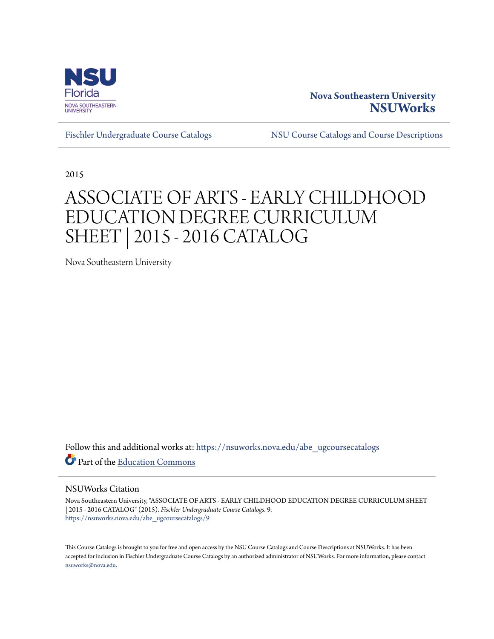

## **Nova Southeastern University [NSUWorks](https://nsuworks.nova.edu?utm_source=nsuworks.nova.edu%2Fabe_ugcoursecatalogs%2F9&utm_medium=PDF&utm_campaign=PDFCoverPages)**

[Fischler Undergraduate Course Catalogs](https://nsuworks.nova.edu/abe_ugcoursecatalogs?utm_source=nsuworks.nova.edu%2Fabe_ugcoursecatalogs%2F9&utm_medium=PDF&utm_campaign=PDFCoverPages) [NSU Course Catalogs and Course Descriptions](https://nsuworks.nova.edu/nsu_catalogs?utm_source=nsuworks.nova.edu%2Fabe_ugcoursecatalogs%2F9&utm_medium=PDF&utm_campaign=PDFCoverPages)

2015

## ASSOCIATE OF ARTS - EARLY CHILDHOOD EDUCATION DEGREE CURRICULUM SHEET | 2015 - 2016 CATALOG

Nova Southeastern University

Follow this and additional works at: [https://nsuworks.nova.edu/abe\\_ugcoursecatalogs](https://nsuworks.nova.edu/abe_ugcoursecatalogs?utm_source=nsuworks.nova.edu%2Fabe_ugcoursecatalogs%2F9&utm_medium=PDF&utm_campaign=PDFCoverPages) Part of the [Education Commons](http://network.bepress.com/hgg/discipline/784?utm_source=nsuworks.nova.edu%2Fabe_ugcoursecatalogs%2F9&utm_medium=PDF&utm_campaign=PDFCoverPages)

## NSUWorks Citation

Nova Southeastern University, "ASSOCIATE OF ARTS - EARLY CHILDHOOD EDUCATION DEGREE CURRICULUM SHEET | 2015 - 2016 CATALOG" (2015). *Fischler Undergraduate Course Catalogs*. 9. [https://nsuworks.nova.edu/abe\\_ugcoursecatalogs/9](https://nsuworks.nova.edu/abe_ugcoursecatalogs/9?utm_source=nsuworks.nova.edu%2Fabe_ugcoursecatalogs%2F9&utm_medium=PDF&utm_campaign=PDFCoverPages)

This Course Catalogs is brought to you for free and open access by the NSU Course Catalogs and Course Descriptions at NSUWorks. It has been accepted for inclusion in Fischler Undergraduate Course Catalogs by an authorized administrator of NSUWorks. For more information, please contact [nsuworks@nova.edu.](mailto:nsuworks@nova.edu)